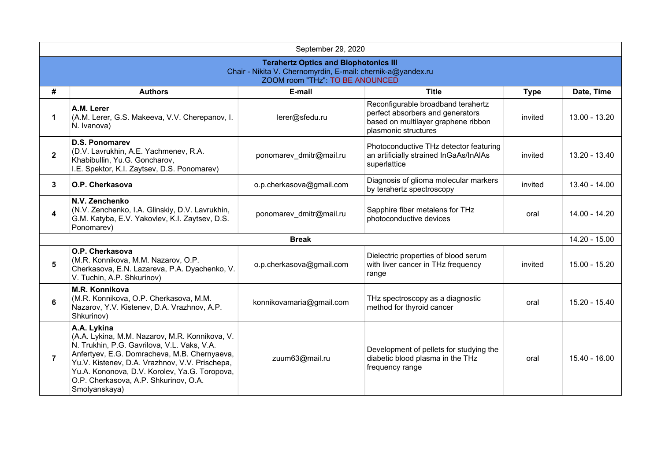|                                                                                                                                               | September 29, 2020                                                                                                                                                                                                                                                                                                        |                          |                                                                                                                                       |             |                 |  |
|-----------------------------------------------------------------------------------------------------------------------------------------------|---------------------------------------------------------------------------------------------------------------------------------------------------------------------------------------------------------------------------------------------------------------------------------------------------------------------------|--------------------------|---------------------------------------------------------------------------------------------------------------------------------------|-------------|-----------------|--|
| <b>Terahertz Optics and Biophotonics III</b><br>Chair - Nikita V. Chernomyrdin, E-mail: chernik-a@yandex.ru<br>ZOOM room "THz" TO BE ANOUNCED |                                                                                                                                                                                                                                                                                                                           |                          |                                                                                                                                       |             |                 |  |
| #                                                                                                                                             | <b>Authors</b>                                                                                                                                                                                                                                                                                                            | E-mail                   | <b>Title</b>                                                                                                                          | <b>Type</b> | Date, Time      |  |
| 1                                                                                                                                             | A.M. Lerer<br>(A.M. Lerer, G.S. Makeeva, V.V. Cherepanov, I.<br>N. Ivanova)                                                                                                                                                                                                                                               | lerer@sfedu.ru           | Reconfigurable broadband terahertz<br>perfect absorbers and generators<br>based on multilayer graphene ribbon<br>plasmonic structures | invited     | 13.00 - 13.20   |  |
| $\mathbf{2}$                                                                                                                                  | <b>D.S. Ponomarev</b><br>(D.V. Lavrukhin, A.E. Yachmenev, R.A.<br>Khabibullin, Yu.G. Goncharov,<br>I.E. Spektor, K.I. Zaytsev, D.S. Ponomarev)                                                                                                                                                                            | ponomarev_dmitr@mail.ru  | Photoconductive THz detector featuring<br>an artificially strained InGaAs/InAlAs<br>superlattice                                      | invited     | 13.20 - 13.40   |  |
| 3                                                                                                                                             | O.P. Cherkasova                                                                                                                                                                                                                                                                                                           | o.p.cherkasova@gmail.com | Diagnosis of glioma molecular markers<br>by terahertz spectroscopy                                                                    | invited     | 13.40 - 14.00   |  |
| 4                                                                                                                                             | N.V. Zenchenko<br>(N.V. Zenchenko, I.A. Glinskiy, D.V. Lavrukhin,<br>G.M. Katyba, E.V. Yakovlev, K.I. Zaytsev, D.S.<br>Ponomarev)                                                                                                                                                                                         | ponomarev dmitr@mail.ru  | Sapphire fiber metalens for THz<br>photoconductive devices                                                                            | oral        | 14.00 - 14.20   |  |
|                                                                                                                                               |                                                                                                                                                                                                                                                                                                                           | <b>Break</b>             |                                                                                                                                       |             | 14.20 - 15.00   |  |
| 5                                                                                                                                             | O.P. Cherkasova<br>(M.R. Konnikova, M.M. Nazarov, O.P.<br>Cherkasova, E.N. Lazareva, P.A. Dyachenko, V.<br>V. Tuchin, A.P. Shkurinov)                                                                                                                                                                                     | o.p.cherkasova@gmail.com | Dielectric properties of blood serum<br>with liver cancer in THz frequency<br>range                                                   | invited     | $15.00 - 15.20$ |  |
| 6                                                                                                                                             | M.R. Konnikova<br>(M.R. Konnikova, O.P. Cherkasova, M.M.<br>Nazarov, Y.V. Kistenev, D.A. Vrazhnov, A.P.<br>Shkurinov)                                                                                                                                                                                                     | konnikovamaria@gmail.com | THz spectroscopy as a diagnostic<br>method for thyroid cancer                                                                         | oral        | 15.20 - 15.40   |  |
| $\overline{7}$                                                                                                                                | A.A. Lykina<br>(A.A. Lykina, M.M. Nazarov, M.R. Konnikova, V.<br>N. Trukhin, P.G. Gavrilova, V.L. Vaks, V.A.<br>Anfertyev, E.G. Domracheva, M.B. Chernyaeva,<br>Yu.V. Kistenev, D.A. Vrazhnov, V.V. Prischepa,<br>Yu.A. Kononova, D.V. Korolev, Ya.G. Toropova,<br>O.P. Cherkasova, A.P. Shkurinov, O.A.<br>Smolyanskaya) | zuum63@mail.ru           | Development of pellets for studying the<br>diabetic blood plasma in the THz<br>frequency range                                        | oral        | 15.40 - 16.00   |  |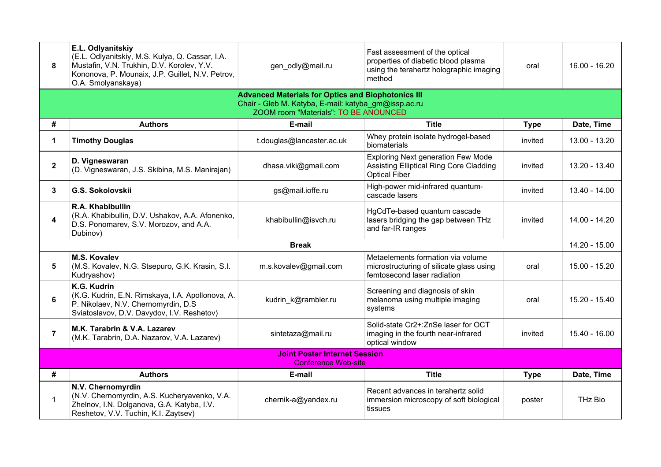| 8              | E.L. Odlyanitskiy<br>(E.L. Odlyanitskiy, M.S. Kulya, Q. Cassar, I.A.<br>Mustafin, V.N. Trukhin, D.V. Korolev, Y.V.<br>Kononova, P. Mounaix, J.P. Guillet, N.V. Petrov,<br>O.A. Smolyanskaya) | gen_odly@mail.ru          | Fast assessment of the optical<br>properties of diabetic blood plasma<br>using the terahertz holographic imaging<br>method | oral        | $16.00 - 16.20$ |  |
|----------------|----------------------------------------------------------------------------------------------------------------------------------------------------------------------------------------------|---------------------------|----------------------------------------------------------------------------------------------------------------------------|-------------|-----------------|--|
|                | <b>Advanced Materials for Optics and Biophotonics III</b><br>Chair - Gleb M. Katyba, E-mail: katyba_gm@issp.ac.ru<br>ZOOM room "Materials": TO BE ANOUNCED                                   |                           |                                                                                                                            |             |                 |  |
| #              | <b>Authors</b>                                                                                                                                                                               | E-mail                    | <b>Title</b>                                                                                                               | <b>Type</b> | Date, Time      |  |
| 1              | <b>Timothy Douglas</b>                                                                                                                                                                       | t.douglas@lancaster.ac.uk | Whey protein isolate hydrogel-based<br>biomaterials                                                                        | invited     | 13.00 - 13.20   |  |
| $\mathbf{2}$   | D. Vigneswaran<br>(D. Vigneswaran, J.S. Skibina, M.S. Manirajan)                                                                                                                             | dhasa.viki@gmail.com      | <b>Exploring Next generation Few Mode</b><br>Assisting Elliptical Ring Core Cladding<br><b>Optical Fiber</b>               | invited     | 13.20 - 13.40   |  |
| 3              | G.S. Sokolovskii                                                                                                                                                                             | gs@mail.ioffe.ru          | High-power mid-infrared quantum-<br>cascade lasers                                                                         | invited     | 13.40 - 14.00   |  |
| 4              | R.A. Khabibullin<br>(R.A. Khabibullin, D.V. Ushakov, A.A. Afonenko,<br>D.S. Ponomarev, S.V. Morozov, and A.A.<br>Dubinov)                                                                    | khabibullin@isvch.ru      | HgCdTe-based quantum cascade<br>lasers bridging the gap between THz<br>and far-IR ranges                                   | invited     | 14.00 - 14.20   |  |
|                | <b>Break</b>                                                                                                                                                                                 |                           |                                                                                                                            |             |                 |  |
| 5              | <b>M.S. Kovalev</b><br>(M.S. Kovalev, N.G. Stsepuro, G.K. Krasin, S.I.<br>Kudryashov)                                                                                                        | m.s.kovalev@gmail.com     | Metaelements formation via volume<br>microstructuring of silicate glass using<br>femtosecond laser radiation               | oral        | 15.00 - 15.20   |  |
| 6              | K.G. Kudrin<br>(K.G. Kudrin, E.N. Rimskaya, I.A. Apollonova, A.<br>P. Nikolaev, N.V. Chernomyrdin, D.S.<br>Sviatoslavov, D.V. Davydov, I.V. Reshetov)                                        | kudrin_k@rambler.ru       | Screening and diagnosis of skin<br>melanoma using multiple imaging<br>systems                                              | oral        | 15.20 - 15.40   |  |
| $\overline{7}$ | M.K. Tarabrin & V.A. Lazarev<br>(M.K. Tarabrin, D.A. Nazarov, V.A. Lazarev)                                                                                                                  | sintetaza@mail.ru         | Solid-state Cr2+:ZnSe laser for OCT<br>imaging in the fourth near-infrared<br>optical window                               | invited     | 15.40 - 16.00   |  |
|                | <b>Joint Poster Internet Session</b><br><b>Conference Web-site</b>                                                                                                                           |                           |                                                                                                                            |             |                 |  |
| #              | <b>Authors</b>                                                                                                                                                                               | E-mail                    | <b>Title</b>                                                                                                               | <b>Type</b> | Date, Time      |  |
| $\mathbf 1$    | N.V. Chernomyrdin<br>(N.V. Chernomyrdin, A.S. Kucheryavenko, V.A.<br>Zhelnov, I.N. Dolganova, G.A. Katyba, I.V.<br>Reshetov, V.V. Tuchin, K.I. Zaytsev)                                      | chernik-a@yandex.ru       | Recent advances in terahertz solid<br>immersion microscopy of soft biological<br>tissues                                   | poster      | THz Bio         |  |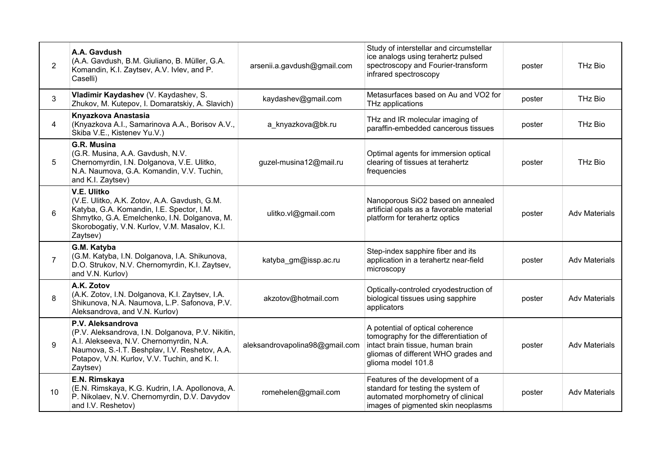| $\overline{2}$ | A.A. Gavdush<br>(A.A. Gavdush, B.M. Giuliano, B. Müller, G.A.<br>Komandin, K.I. Zaytsev, A.V. Ivlev, and P.<br>Caselli)                                                                                                         | arsenii.a.gavdush@gmail.com    | Study of interstellar and circumstellar<br>ice analogs using terahertz pulsed<br>spectroscopy and Fourier-transform<br>infrared spectroscopy                               | poster | THz Bio              |
|----------------|---------------------------------------------------------------------------------------------------------------------------------------------------------------------------------------------------------------------------------|--------------------------------|----------------------------------------------------------------------------------------------------------------------------------------------------------------------------|--------|----------------------|
| 3              | Vladimir Kaydashev (V. Kaydashev, S.<br>Zhukov, M. Kutepov, I. Domaratskiy, A. Slavich)                                                                                                                                         | kaydashev@gmail.com            | Metasurfaces based on Au and VO2 for<br>THz applications                                                                                                                   | poster | THz Bio              |
| 4              | Knyazkova Anastasia<br>(Knyazkova A.I., Samarinova A.A., Borisov A.V.,<br>Skiba V.E., Kistenev Yu.V.)                                                                                                                           | a_knyazkova@bk.ru              | THz and IR molecular imaging of<br>paraffin-embedded cancerous tissues                                                                                                     | poster | THz Bio              |
| 5              | G.R. Musina<br>(G.R. Musina, A.A. Gavdush, N.V.<br>Chernomyrdin, I.N. Dolganova, V.E. Ulitko,<br>N.A. Naumova, G.A. Komandin, V.V. Tuchin,<br>and K.I. Zaytsev)                                                                 | guzel-musina12@mail.ru         | Optimal agents for immersion optical<br>clearing of tissues at terahertz<br>frequencies                                                                                    | poster | THz Bio              |
| 6              | V.E. Ulitko<br>(V.E. Ulitko, A.K. Zotov, A.A. Gavdush, G.M.<br>Katyba, G.A. Komandin, I.E. Spector, I.M.<br>Shmytko, G.A. Emelchenko, I.N. Dolganova, M.<br>Skorobogatiy, V.N. Kurlov, V.M. Masalov, K.I.<br>Zaytsev)           | ulitko.vl@gmail.com            | Nanoporous SiO2 based on annealed<br>artificial opals as a favorable material<br>platform for terahertz optics                                                             | poster | <b>Adv Materials</b> |
| $\overline{7}$ | G.M. Katyba<br>(G.M. Katyba, I.N. Dolganova, I.A. Shikunova,<br>D.O. Strukov, N.V. Chernomyrdin, K.I. Zaytsev,<br>and V.N. Kurlov)                                                                                              | katyba_gm@issp.ac.ru           | Step-index sapphire fiber and its<br>application in a terahertz near-field<br>microscopy                                                                                   | poster | <b>Adv Materials</b> |
| 8              | A.K. Zotov<br>(A.K. Zotov, I.N. Dolganova, K.I. Zaytsev, I.A.<br>Shikunova, N.A. Naumova, L.P. Safonova, P.V.<br>Aleksandrova, and V.N. Kurlov)                                                                                 | akzotov@hotmail.com            | Optically-controled cryodestruction of<br>biological tissues using sapphire<br>applicators                                                                                 | poster | <b>Adv Materials</b> |
| 9              | P.V. Aleksandrova<br>(P.V. Aleksandrova, I.N. Dolganova, P.V. Nikitin,<br>A.I. Alekseeva, N.V. Chernomyrdin, N.A.<br>Naumova, S.-I.T. Beshplav, I.V. Reshetov, A.A.<br>Potapov, V.N. Kurlov, V.V. Tuchin, and K. I.<br>Zaytsev) | aleksandrovapolina98@gmail.com | A potential of optical coherence<br>tomography for the differentiation of<br>intact brain tissue, human brain<br>gliomas of different WHO grades and<br>glioma model 101.8 | poster | <b>Adv Materials</b> |
| 10             | E.N. Rimskaya<br>(E.N. Rimskaya, K.G. Kudrin, I.A. Apollonova, A.<br>P. Nikolaev, N.V. Chernomyrdin, D.V. Davydov<br>and I.V. Reshetov)                                                                                         | romehelen@gmail.com            | Features of the development of a<br>standard for testing the system of<br>automated morphometry of clinical<br>images of pigmented skin neoplasms                          | poster | <b>Adv Materials</b> |